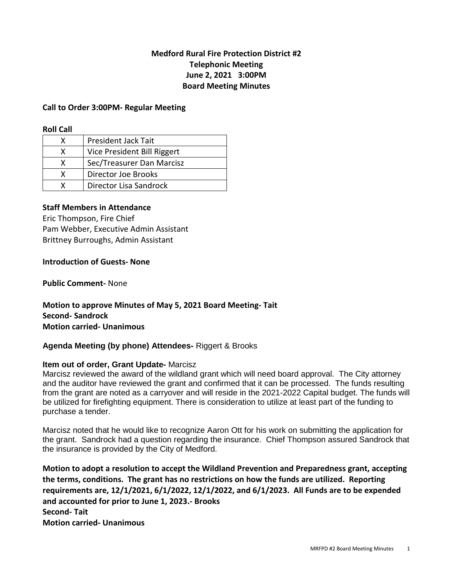## **Medford Rural Fire Protection District #2 Telephonic Meeting June 2, 2021 3:00PM Board Meeting Minutes**

#### **Call to Order 3:00PM- Regular Meeting**

#### **Roll Call**

| x | <b>President Jack Tait</b>  |
|---|-----------------------------|
| x | Vice President Bill Riggert |
| x | Sec/Treasurer Dan Marcisz   |
| x | Director Joe Brooks         |
|   | Director Lisa Sandrock      |

### **Staff Members in Attendance**

Eric Thompson, Fire Chief Pam Webber, Executive Admin Assistant Brittney Burroughs, Admin Assistant

#### **Introduction of Guests- None**

**Public Comment-** None

**Motion to approve Minutes of May 5, 2021 Board Meeting- Tait Second- Sandrock Motion carried- Unanimous** 

## **Agenda Meeting (by phone) Attendees-** Riggert & Brooks

#### **Item out of order, Grant Update-** Marcisz

Marcisz reviewed the award of the wildland grant which will need board approval. The City attorney and the auditor have reviewed the grant and confirmed that it can be processed. The funds resulting from the grant are noted as a carryover and will reside in the 2021-2022 Capital budget. The funds will be utilized for firefighting equipment. There is consideration to utilize at least part of the funding to purchase a tender.

Marcisz noted that he would like to recognize Aaron Ott for his work on submitting the application for the grant. Sandrock had a question regarding the insurance. Chief Thompson assured Sandrock that the insurance is provided by the City of Medford.

**Motion to adopt a resolution to accept the Wildland Prevention and Preparedness grant, accepting the terms, conditions. The grant has no restrictions on how the funds are utilized. Reporting requirements are, 12/1/2021, 6/1/2022, 12/1/2022, and 6/1/2023. All Funds are to be expended and accounted for prior to June 1, 2023.- Brooks Second- Tait Motion carried- Unanimous**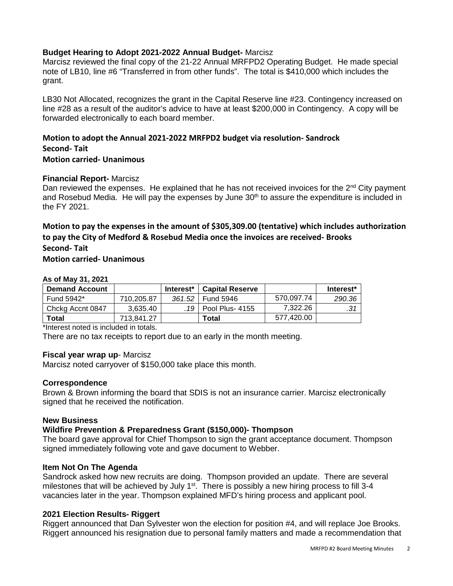## **Budget Hearing to Adopt 2021-2022 Annual Budget-** Marcisz

Marcisz reviewed the final copy of the 21-22 Annual MRFPD2 Operating Budget. He made special note of LB10, line #6 "Transferred in from other funds". The total is \$410,000 which includes the grant.

LB30 Not Allocated, recognizes the grant in the Capital Reserve line #23. Contingency increased on line #28 as a result of the auditor's advice to have at least \$200,000 in Contingency. A copy will be forwarded electronically to each board member.

# **Motion to adopt the Annual 2021-2022 MRFPD2 budget via resolution- Sandrock Second- Tait**

**Motion carried- Unanimous** 

### **Financial Report-** Marcisz

Dan reviewed the expenses. He explained that he has not received invoices for the  $2<sup>nd</sup>$  City payment and Rosebud Media. He will pay the expenses by June  $30<sup>th</sup>$  to assure the expenditure is included in the FY 2021.

## **Motion to pay the expenses in the amount of \$305,309.00 (tentative) which includes authorization to pay the City of Medford & Rosebud Media once the invoices are received- Brooks Second- Tait**

### **Motion carried- Unanimous**

#### **As of May 31, 2021**

| <b>Demand Account</b> |            | Interest* | <b>Capital Reserve</b> |            | Interest* |
|-----------------------|------------|-----------|------------------------|------------|-----------|
| Fund 5942*            | 710.205.87 | 361.52    | Fund 5946              | 570.097.74 | 290.36    |
| Chckg Accnt 0847      | 3.635.40   |           | .19   Pool Plus- 4155  | 7.322.26   |           |
| Total                 | 713.841.27 |           | Total                  | 577.420.00 |           |

\*Interest noted is included in totals.

There are no tax receipts to report due to an early in the month meeting.

#### **Fiscal year wrap up**- Marcisz

Marcisz noted carryover of \$150,000 take place this month.

## **Correspondence**

Brown & Brown informing the board that SDIS is not an insurance carrier. Marcisz electronically signed that he received the notification.

## **New Business**

## **Wildfire Prevention & Preparedness Grant (\$150,000)- Thompson**

The board gave approval for Chief Thompson to sign the grant acceptance document. Thompson signed immediately following vote and gave document to Webber.

#### **Item Not On The Agenda**

Sandrock asked how new recruits are doing. Thompson provided an update. There are several milestones that will be achieved by July  $1<sup>st</sup>$ . There is possibly a new hiring process to fill 3-4 vacancies later in the year. Thompson explained MFD's hiring process and applicant pool.

## **2021 Election Results- Riggert**

Riggert announced that Dan Sylvester won the election for position #4, and will replace Joe Brooks. Riggert announced his resignation due to personal family matters and made a recommendation that